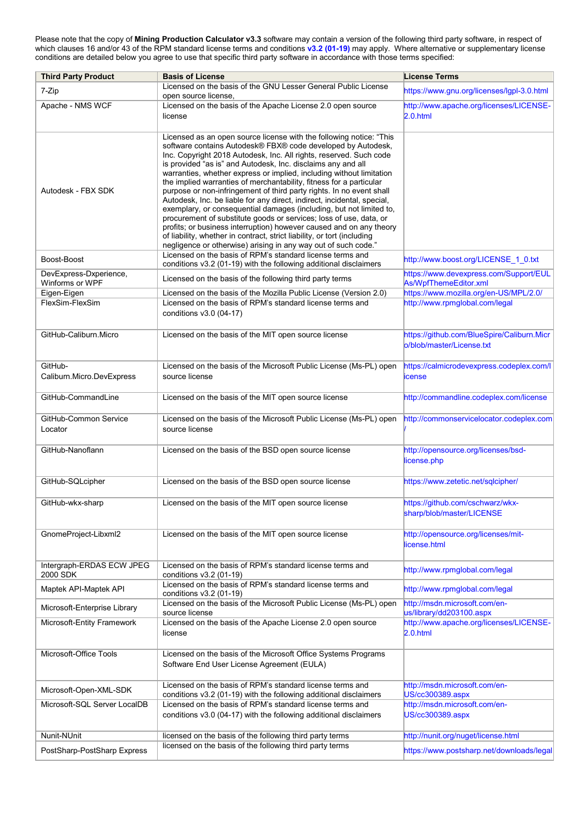Please note that the copy of **Mining Production Calculator v3.3** software may contain a version of the following third party software, in respect of which clauses 16 and/or 43 of the RPM standard license terms and conditions **[v3.2 \(01-19\)](https://www.rpmglobal.com/wp-content/uploads/2019/01/SLMA-TCs-v3.2-01-19.pdf)** may apply. Where alternative or supplementary license conditions are detailed below you agree to use that specific third party software in accordance with those terms specified:

| <b>Third Party Product</b>                | <b>Basis of License</b>                                                                                                                                                                                                                                                                                                                                                                                                                                                                                                                                                                                                                                                                                                                                                                                                                                                                                                                                                                                   | <b>License Terms</b>                                                     |
|-------------------------------------------|-----------------------------------------------------------------------------------------------------------------------------------------------------------------------------------------------------------------------------------------------------------------------------------------------------------------------------------------------------------------------------------------------------------------------------------------------------------------------------------------------------------------------------------------------------------------------------------------------------------------------------------------------------------------------------------------------------------------------------------------------------------------------------------------------------------------------------------------------------------------------------------------------------------------------------------------------------------------------------------------------------------|--------------------------------------------------------------------------|
| 7-Zip                                     | Licensed on the basis of the GNU Lesser General Public License<br>open source license,                                                                                                                                                                                                                                                                                                                                                                                                                                                                                                                                                                                                                                                                                                                                                                                                                                                                                                                    | https://www.gnu.org/licenses/lgpl-3.0.html                               |
| Apache - NMS WCF                          | Licensed on the basis of the Apache License 2.0 open source<br>license                                                                                                                                                                                                                                                                                                                                                                                                                                                                                                                                                                                                                                                                                                                                                                                                                                                                                                                                    | http://www.apache.org/licenses/LICENSE-<br>2.0.html                      |
| Autodesk - FBX SDK                        | Licensed as an open source license with the following notice: "This<br>software contains Autodesk® FBX® code developed by Autodesk,<br>Inc. Copyright 2018 Autodesk, Inc. All rights, reserved. Such code<br>is provided "as is" and Autodesk, Inc. disclaims any and all<br>warranties, whether express or implied, including without limitation<br>the implied warranties of merchantability, fitness for a particular<br>purpose or non-infringement of third party rights. In no event shall<br>Autodesk, Inc. be liable for any direct, indirect, incidental, special,<br>exemplary, or consequential damages (including, but not limited to,<br>procurement of substitute goods or services; loss of use, data, or<br>profits; or business interruption) however caused and on any theory<br>of liability, whether in contract, strict liability, or tort (including<br>negligence or otherwise) arising in any way out of such code."<br>Licensed on the basis of RPM's standard license terms and |                                                                          |
| Boost-Boost                               | conditions v3.2 (01-19) with the following additional disclaimers                                                                                                                                                                                                                                                                                                                                                                                                                                                                                                                                                                                                                                                                                                                                                                                                                                                                                                                                         | http://www.boost.org/LICENSE 1 0.txt                                     |
| DevExpress-Dxperience,<br>Winforms or WPF | Licensed on the basis of the following third party terms                                                                                                                                                                                                                                                                                                                                                                                                                                                                                                                                                                                                                                                                                                                                                                                                                                                                                                                                                  | https://www.devexpress.com/Support/EUL<br>As/WpfThemeEditor.xml          |
| Eigen-Eigen<br>FlexSim-FlexSim            | Licensed on the basis of the Mozilla Public License (Version 2.0)<br>Licensed on the basis of RPM's standard license terms and<br>conditions v3.0 (04-17)                                                                                                                                                                                                                                                                                                                                                                                                                                                                                                                                                                                                                                                                                                                                                                                                                                                 | https://www.mozilla.org/en-US/MPL/2.0/<br>http://www.rpmglobal.com/legal |
| GitHub-Caliburn.Micro                     | Licensed on the basis of the MIT open source license                                                                                                                                                                                                                                                                                                                                                                                                                                                                                                                                                                                                                                                                                                                                                                                                                                                                                                                                                      | https://github.com/BlueSpire/Caliburn.Micr<br>b/blob/master/License.txt  |
| GitHub-<br>Caliburn.Micro.DevExpress      | Licensed on the basis of the Microsoft Public License (Ms-PL) open<br>source license                                                                                                                                                                                                                                                                                                                                                                                                                                                                                                                                                                                                                                                                                                                                                                                                                                                                                                                      | https://calmicrodevexpress.codeplex.com/l<br>icense                      |
| GitHub-CommandLine                        | Licensed on the basis of the MIT open source license                                                                                                                                                                                                                                                                                                                                                                                                                                                                                                                                                                                                                                                                                                                                                                                                                                                                                                                                                      | http://commandline.codeplex.com/license                                  |
| GitHub-Common Service<br>Locator          | Licensed on the basis of the Microsoft Public License (Ms-PL) open<br>source license                                                                                                                                                                                                                                                                                                                                                                                                                                                                                                                                                                                                                                                                                                                                                                                                                                                                                                                      | http://commonservicelocator.codeplex.com                                 |
| GitHub-Nanoflann                          | Licensed on the basis of the BSD open source license                                                                                                                                                                                                                                                                                                                                                                                                                                                                                                                                                                                                                                                                                                                                                                                                                                                                                                                                                      | http://opensource.org/licenses/bsd-<br>license.php                       |
| GitHub-SQLcipher                          | Licensed on the basis of the BSD open source license                                                                                                                                                                                                                                                                                                                                                                                                                                                                                                                                                                                                                                                                                                                                                                                                                                                                                                                                                      | https://www.zetetic.net/sqlcipher/                                       |
| GitHub-wkx-sharp                          | Licensed on the basis of the MIT open source license                                                                                                                                                                                                                                                                                                                                                                                                                                                                                                                                                                                                                                                                                                                                                                                                                                                                                                                                                      | https://github.com/cschwarz/wkx-<br>sharp/blob/master/LICENSE            |
| GnomeProject-Libxml2                      | Licensed on the basis of the MIT open source license                                                                                                                                                                                                                                                                                                                                                                                                                                                                                                                                                                                                                                                                                                                                                                                                                                                                                                                                                      | http://opensource.org/licenses/mit-<br>license.html                      |
| Intergraph-ERDAS ECW JPEG<br>2000 SDK     | Licensed on the basis of RPM's standard license terms and<br>conditions v3.2 (01-19)                                                                                                                                                                                                                                                                                                                                                                                                                                                                                                                                                                                                                                                                                                                                                                                                                                                                                                                      | http://www.rpmglobal.com/legal                                           |
| Maptek API-Maptek API                     | Licensed on the basis of RPM's standard license terms and<br>conditions v3.2 (01-19)                                                                                                                                                                                                                                                                                                                                                                                                                                                                                                                                                                                                                                                                                                                                                                                                                                                                                                                      | http://www.rpmglobal.com/legal                                           |
| Microsoft-Enterprise Library              | Licensed on the basis of the Microsoft Public License (Ms-PL) open<br>source license                                                                                                                                                                                                                                                                                                                                                                                                                                                                                                                                                                                                                                                                                                                                                                                                                                                                                                                      | http://msdn.microsoft.com/en-<br>us/library/dd203100.aspx                |
| Microsoft-Entity Framework                | Licensed on the basis of the Apache License 2.0 open source<br>license                                                                                                                                                                                                                                                                                                                                                                                                                                                                                                                                                                                                                                                                                                                                                                                                                                                                                                                                    | http://www.apache.org/licenses/LICENSE-<br>2.0.html                      |
| Microsoft-Office Tools                    | Licensed on the basis of the Microsoft Office Systems Programs<br>Software End User License Agreement (EULA)                                                                                                                                                                                                                                                                                                                                                                                                                                                                                                                                                                                                                                                                                                                                                                                                                                                                                              |                                                                          |
| Microsoft-Open-XML-SDK                    | Licensed on the basis of RPM's standard license terms and<br>conditions v3.2 (01-19) with the following additional disclaimers                                                                                                                                                                                                                                                                                                                                                                                                                                                                                                                                                                                                                                                                                                                                                                                                                                                                            | http://msdn.microsoft.com/en-<br>US/cc300389.aspx                        |
| Microsoft-SQL Server LocalDB              | Licensed on the basis of RPM's standard license terms and<br>conditions v3.0 (04-17) with the following additional disclaimers                                                                                                                                                                                                                                                                                                                                                                                                                                                                                                                                                                                                                                                                                                                                                                                                                                                                            | http://msdn.microsoft.com/en-<br>US/cc300389.aspx                        |
| Nunit-NUnit                               | licensed on the basis of the following third party terms                                                                                                                                                                                                                                                                                                                                                                                                                                                                                                                                                                                                                                                                                                                                                                                                                                                                                                                                                  | http://nunit.org/nuget/license.html                                      |
| PostSharp-PostSharp Express               | licensed on the basis of the following third party terms                                                                                                                                                                                                                                                                                                                                                                                                                                                                                                                                                                                                                                                                                                                                                                                                                                                                                                                                                  | https://www.postsharp.net/downloads/legal                                |